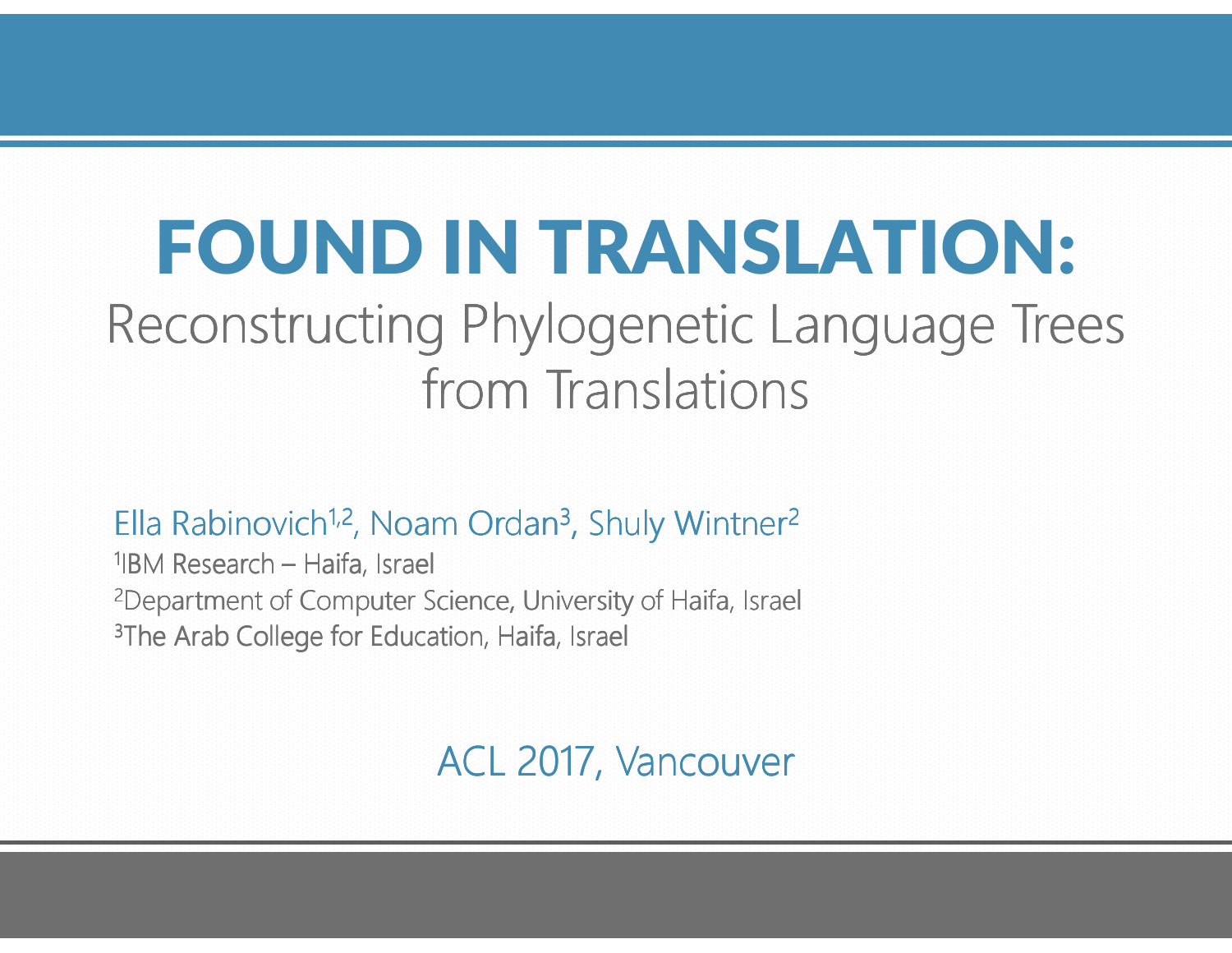# FOUND IN TRANSLATION:

# Reconstructing Phylogenetic Language Trees from Translations

Ella Rabinovich<sup>1,2</sup>, Noam Ordan<sup>3</sup>, Shuly Wintner<sup>2</sup>

<sup>1</sup>IBM Research – Haifa, Israel <sup>2</sup>Department of Computer Science, University of Haifa, Israel <sup>3</sup>The Arab College for Education, Haifa, Israel

ACL 2017, Vancouver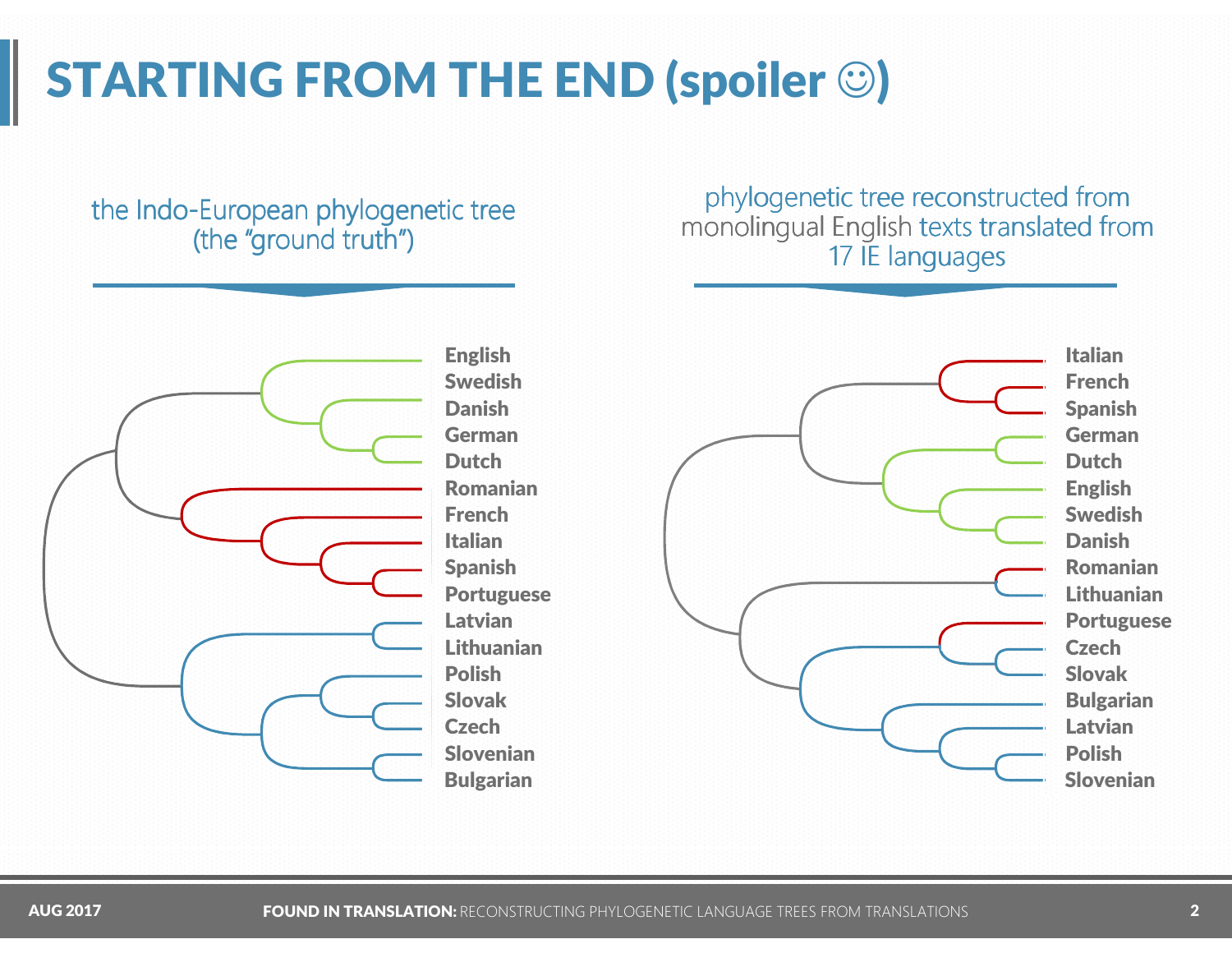# STARTING FROM THE END (spoiler  $\odot$ )

#### the Indo-European phylogenetic tree (the "ground truth")

#### phylogenetic tree reconstructed from monolingual English texts translated from<br>17 IE Janguages 17 IE languages



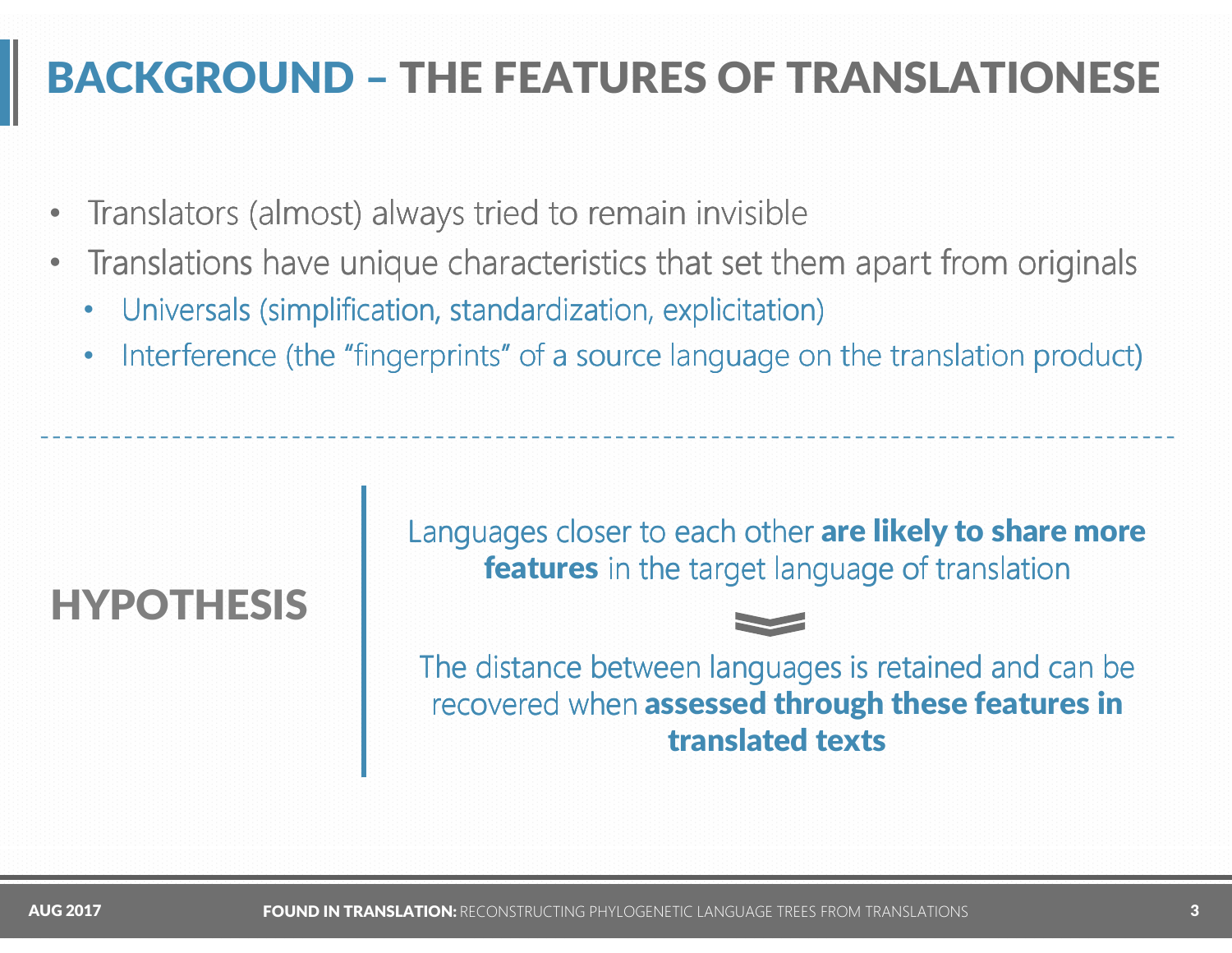# BACKGROUND – THE FEATURES OF TRANSLATIONESE

- •• Translators (almost) always tried to remain invisible
- • Translations have unique characteristics that set them apart from originals
	- •• Universals (simplification, standardization, explicitation)
	- •Interference (the "fingerprints" of a source language on the translation product)

### HYPOTHESIS

Languages closer to each other are likely to share more **features** in the target language of translation



The distance between languages is retained and can be recovered when assessed through these features in translated texts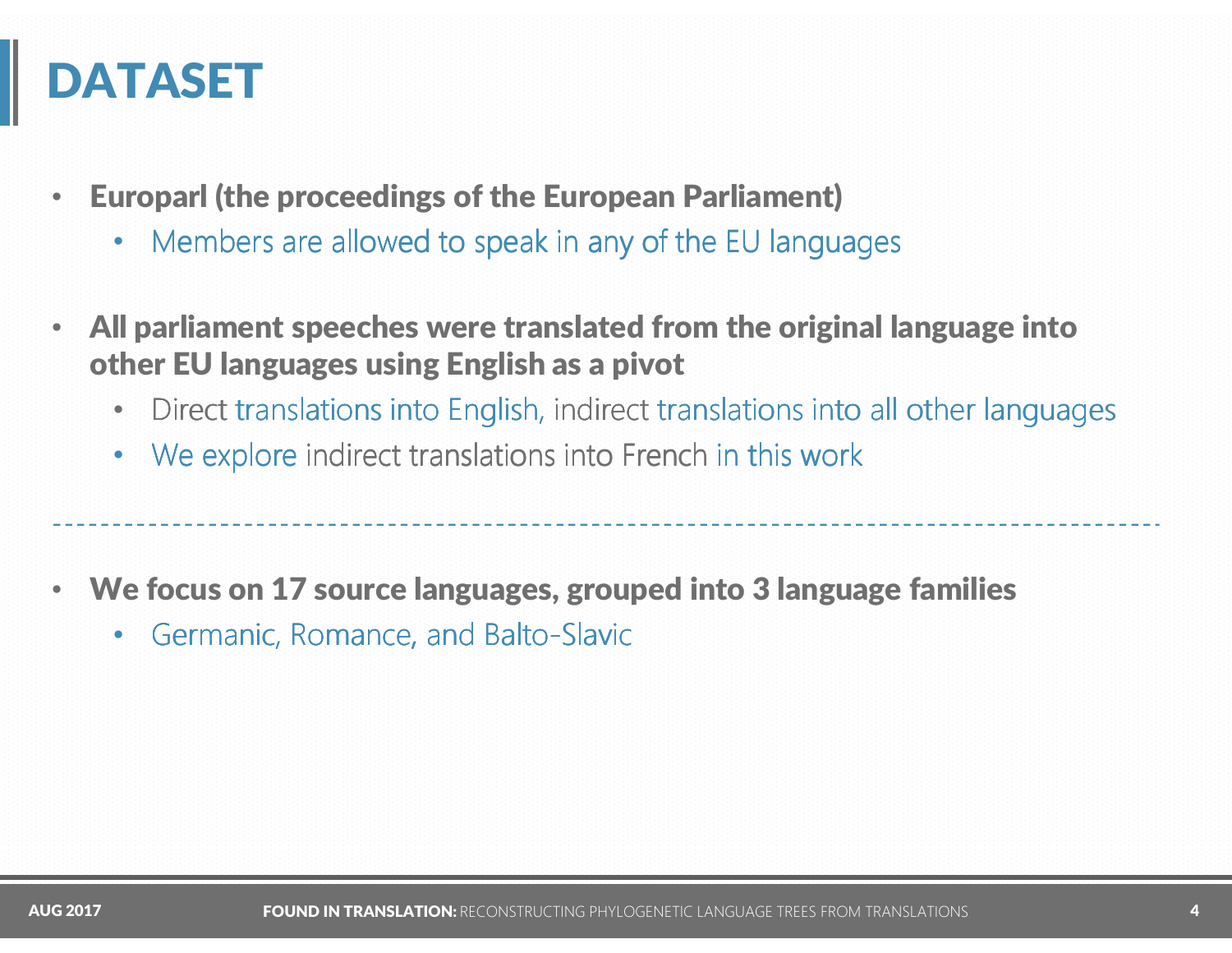### DATASET

- • Europarl (the proceedings of the European Parliament)
	- $\bullet$ • Members are allowed to speak in any of the EU languages
- • All parliament speeches were translated from the original language into other EU languages using English as a pivot
	- $\bullet$ Direct translations into English, indirect translations into all other languages
	- $\bullet$  : We explore indirect translations into French in this work
- • We focus on 17 source languages, grouped into 3 language families
	- •• Germanic, Romance, and Balto-Slavic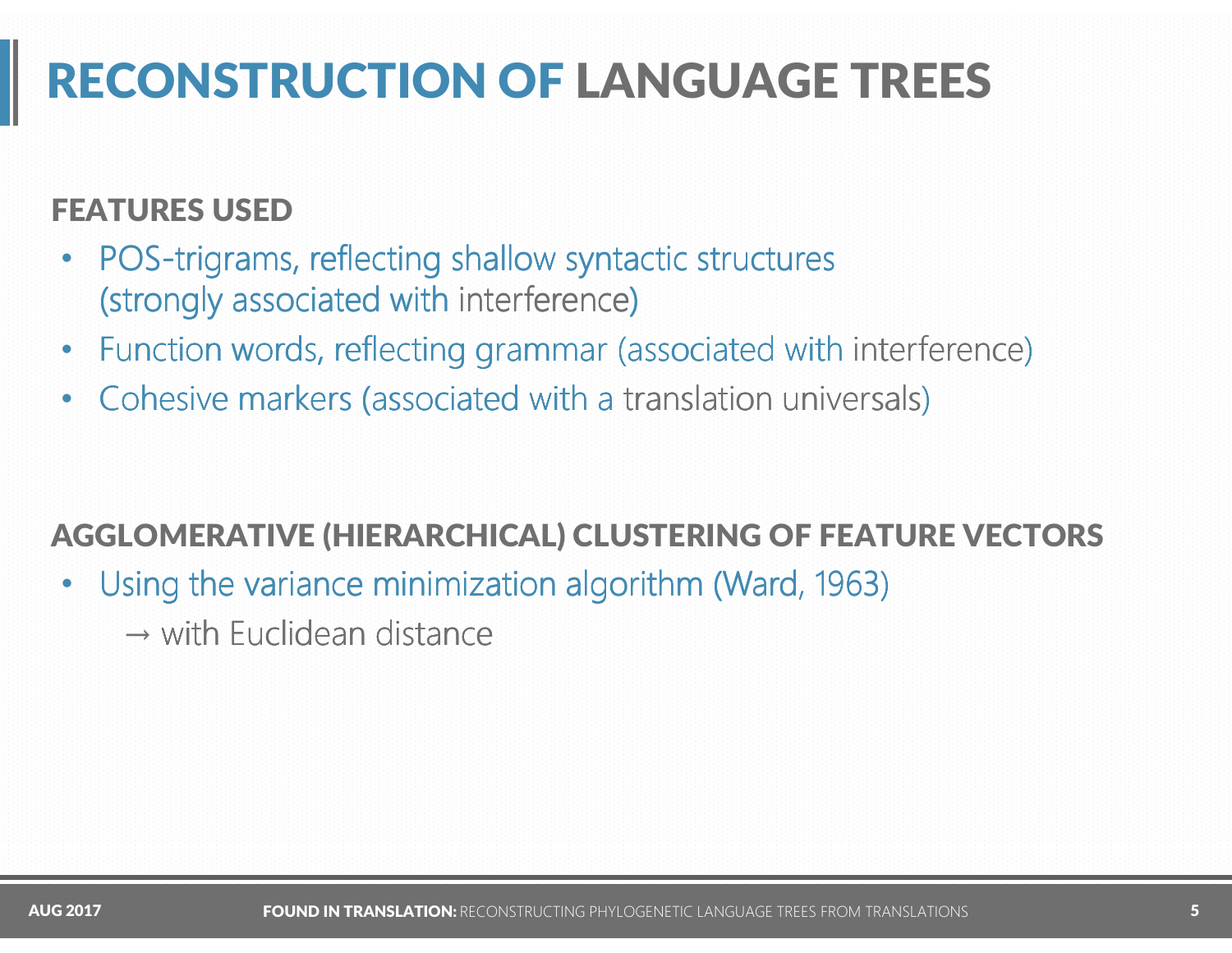# RECONSTRUCTION OF LANGUAGE TREES

#### FEATURES USED

- POS-trigrams, reflecting shallow syntactic structures  $\bullet$ (strongly associated with interference)
- •Function words, reflecting grammar (associated with interference)
- $\bullet$ Cohesive markers (associated with a translation universals)

#### AGGLOMERATIVE (HIERARCHICAL) CLUSTERING OF FEATURE VECTORS

- •Using the variance minimization algorithm (Ward, 1963)
	- $\rightarrow$  with Euclidean distance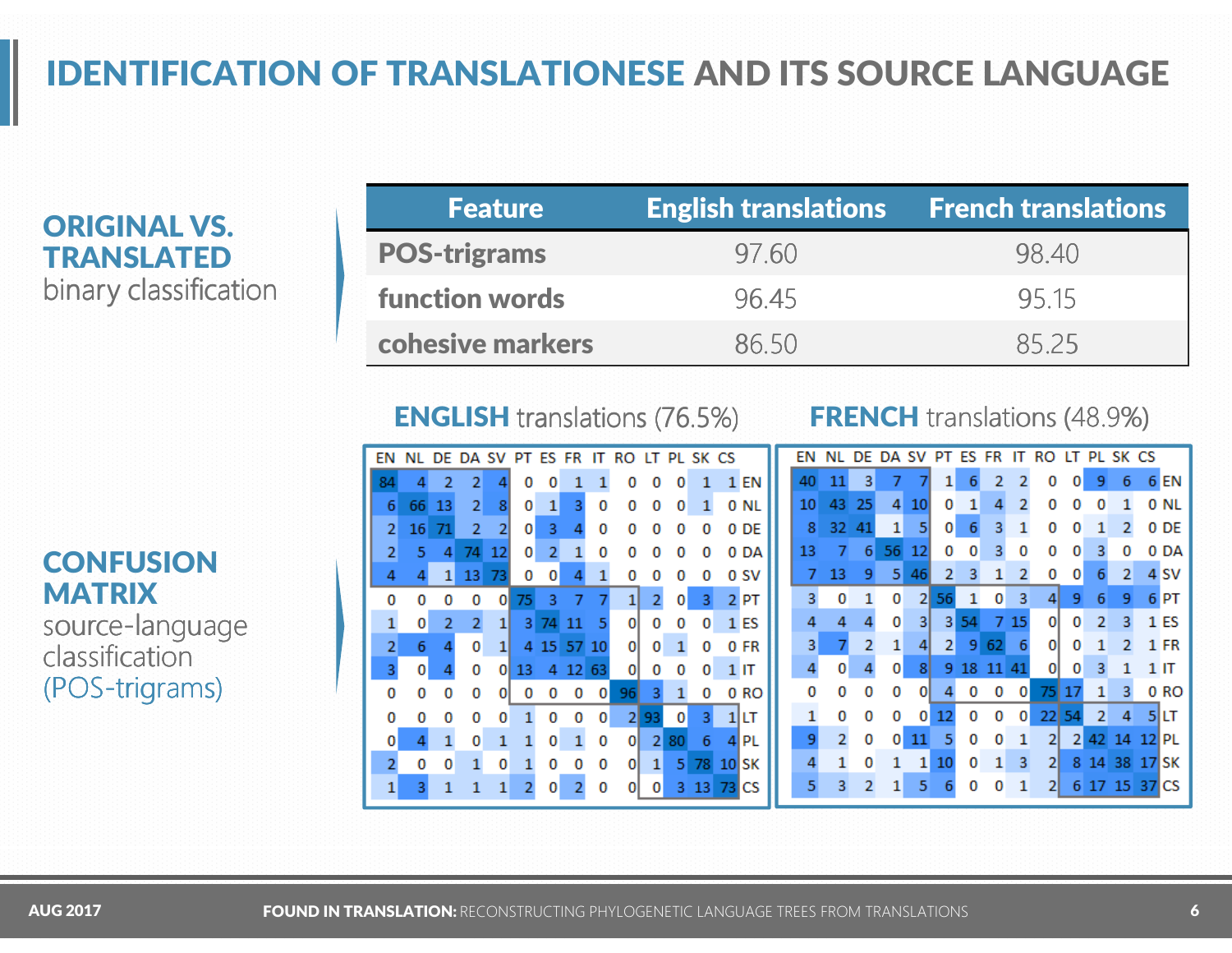### IDENTIFICATION OF TRANSLATIONESE AND ITS SOURCE LANGUAGE

ORIGINAL VS. TRANSLATED binary classification

| <b>Feature</b>        | <b>English translations</b> | $\blacksquare$ French translations |
|-----------------------|-----------------------------|------------------------------------|
| <b>POS-trigrams</b>   | 97.60                       | 98.40                              |
| <b>function words</b> | 96.45                       | 95.15                              |
| cohesive markers      | 86.50                       | 8525                               |

| <b>ENGLISH</b> translations (76.5%) |  |
|-------------------------------------|--|
|                                     |  |
|                                     |  |
|                                     |  |

#### **FRENCH** translations (48.9%)

| EN             |    | DE. | DA SV          |    | PT. | <b>ES FR</b> |         | П   | RO       | LT |    | PL SK CS |    |           | ΕN |    |     |    | sv | PТ             | FS |     |          |     |    |              | PL SK CS |    |                 |
|----------------|----|-----|----------------|----|-----|--------------|---------|-----|----------|----|----|----------|----|-----------|----|----|-----|----|----|----------------|----|-----|----------|-----|----|--------------|----------|----|-----------------|
| 84             |    |     |                |    |     |              |         |     |          |    |    |          |    | 1 EN      | 40 |    | 3   |    |    |                |    |     |          | 0   |    |              | 6        |    | 6 EN            |
| 6              | 66 | 13  | 2              | 8  | 0   |              | 3       | 0   |          | 0  | 0  |          |    | 0 NL      | 10 | 43 | 25  | 4  | 10 | 0              |    |     |          |     |    |              |          |    | 0 NI            |
| 2              | 16 | 71  | $\overline{2}$ | 2  | 0   | 3.           |         | o   |          |    |    | 0        |    | 0 DE      | 8  | 32 | -41 | 1  | 51 | $\overline{0}$ | 6  | з   |          | 0   |    |              |          |    | 0 DE            |
| 2              | 5  | 4   | 74             | 12 | 0   | 2            |         | o   |          |    |    |          |    | 0 DA      | 13 |    | 6   | 56 | 12 | 0              | 0  |     |          |     |    |              |          |    | 0 DA            |
| 4              |    |     | 13             |    |     | 0            |         |     |          |    |    |          |    | 0 SV      |    | 13 | 9   | 5  | 46 | 2              |    |     |          | 0   | 0  |              | 2        |    | 4 SV            |
| o              |    |     | 0              | 0  | 75  | 3.           |         |     |          |    | 0  | 3        |    | $2$ PT    | 3. | 0  |     | 0  |    |                |    |     | з        |     | 9  | 6            | 9        |    | 6 <sub>PT</sub> |
|                | 0  |     |                | 11 | 31  | 74           |         |     | 01       | 0  | 0  | 0        |    | 1 ES      |    |    |     | 0  | 31 | 31             | 54 |     | 15       | 0   | 0  | 2            | 3.       |    | 1 ES            |
| $\overline{2}$ | 6  |     | 0              | 1  |     |              | 4 15 57 | 10  | οI       | 0  |    | 0        |    | 0 FR      | 3  |    | 2   | 1  | 41 | $\mathbf{2}$   | 9  | -62 | -6       | 0   | 0  |              |          |    | 1 FR            |
| 3              | 0  |     | 0              | 01 | 13  | 4            | 12      | -63 | $\Omega$ | 0  |    | 0        |    | 1 IT      |    | 0  |     | 0  | 8  |                |    |     | 41       | ΩI  | 0  |              |          |    | 1 IT            |
| 0              |    | 0   | 0              |    |     |              |         | 0   | 96       |    |    |          |    | 0 RO      |    |    | o   | 0  | 01 |                | 0  | 0   |          | 751 |    |              | з.       |    | 0 RO            |
| 0              |    |     |                |    |     |              |         |     |          |    | 0  |          |    | 1 LT      |    | o  | Ω   |    |    |                | o  | 0   | $\Omega$ | 22  | 54 | $\mathbf{2}$ | 4        |    | <b>51LT</b>     |
| 0              |    |     | 0              |    |     | 0            |         | 0   | 01       | 21 | 80 | 6        |    | 4 PL      | ٩  |    | o   | 0  | 11 |                | 0  |     |          | 2   | 2  | 42.          | 14       |    | 'I PI           |
| $\overline{2}$ | 0  | 0   |                | 0  |     |              |         | 0   | οı       | 11 |    | 5 78     |    | $10$ SK   |    |    | 0   |    |    |                | 0  | 11  | -3       | 21  | 8  | -14          | -38      |    | ISK             |
| 1              |    |     |                |    |     | 0            |         | 0   |          | 0  |    | 3 1 3    | 73 | <b>CS</b> |    |    | 2   |    | 5  |                | o  |     |          | 21  | 6  |              | 15       | 37 | CS              |

#### **CONFUSION MATRIX** source-language classification(POS-trigrams)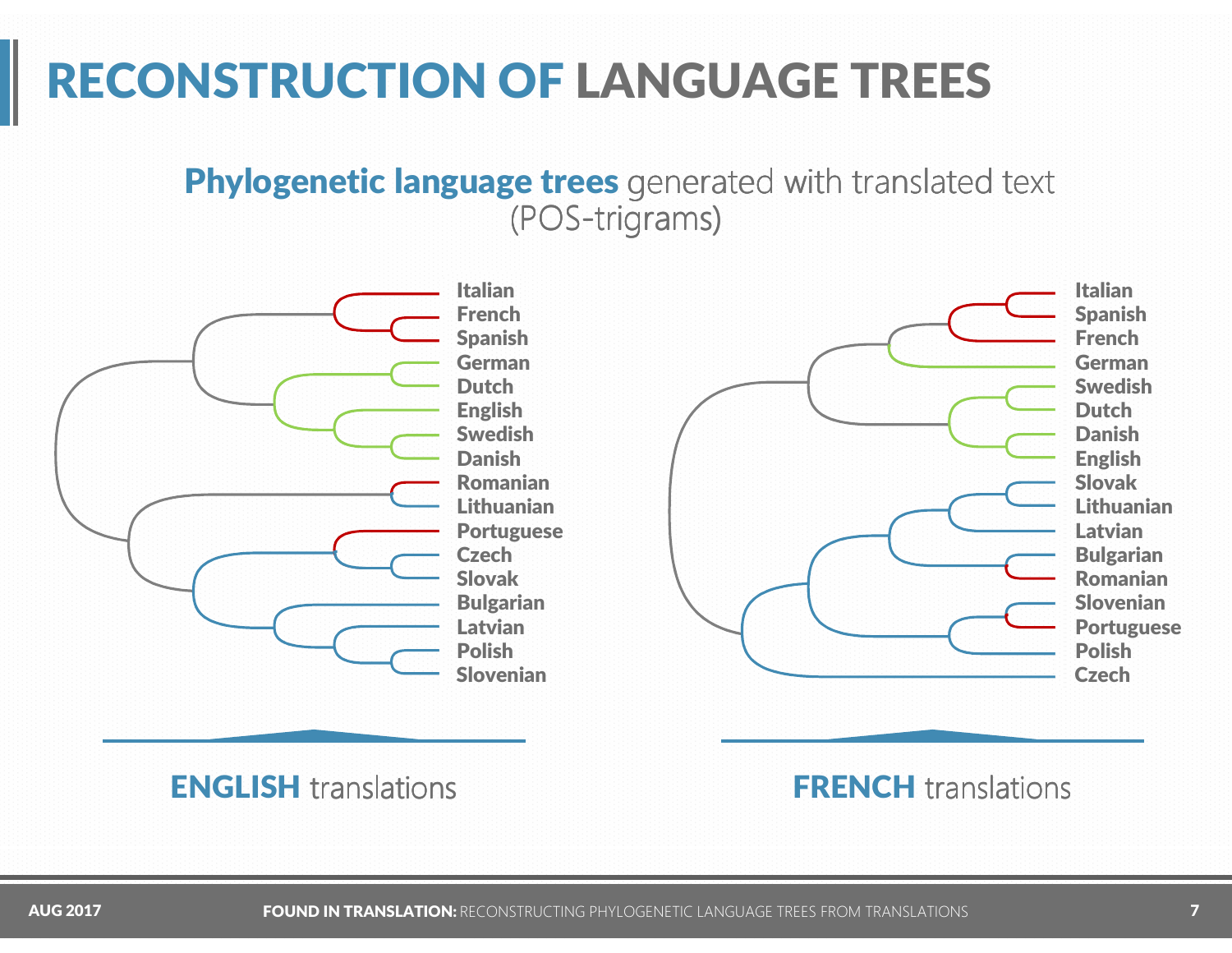### RECONSTRUCTION OF LANGUAGE TREES

#### Phylogenetic language trees generated with translated text (POS-trigrams)



Italian Spanish French German SwedishDutch Danish English Slovak LithuanianLatvian Bulgarian Romanian Slovenian PortuguesePolishCzech

**ENGLISH** translations

**FRENCH** translations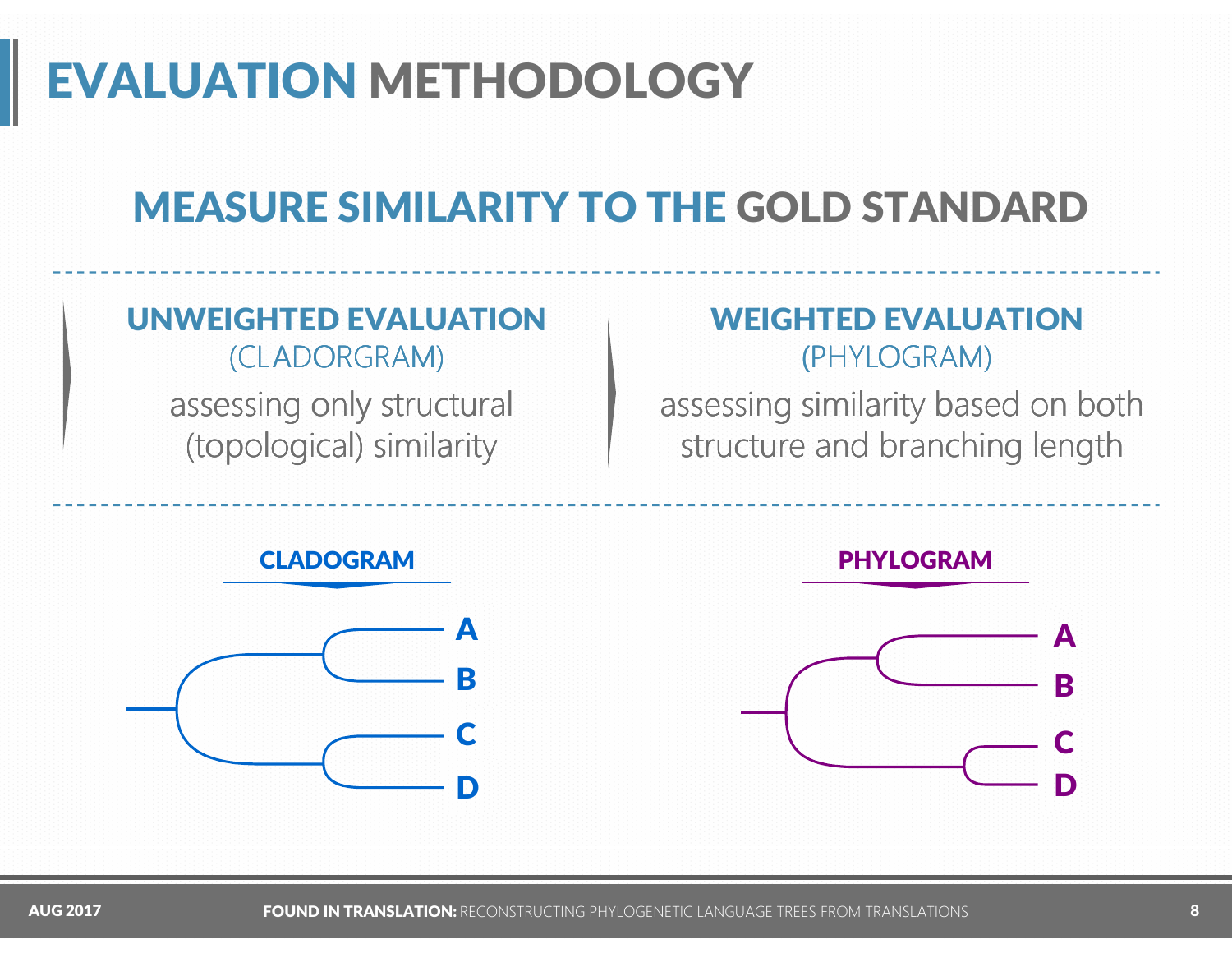# EVALUATION METHODOLOGY

# MEASURE SIMILARITY TO THE GOLD STANDARD

#### UNWEIGHTED EVALUATION(CLADORGRAM)

assessing only structural (topological) similarity

#### WEIGHTED EVALUATION(PHYLOGRAM)

assessing similarity based on both structure and branching length

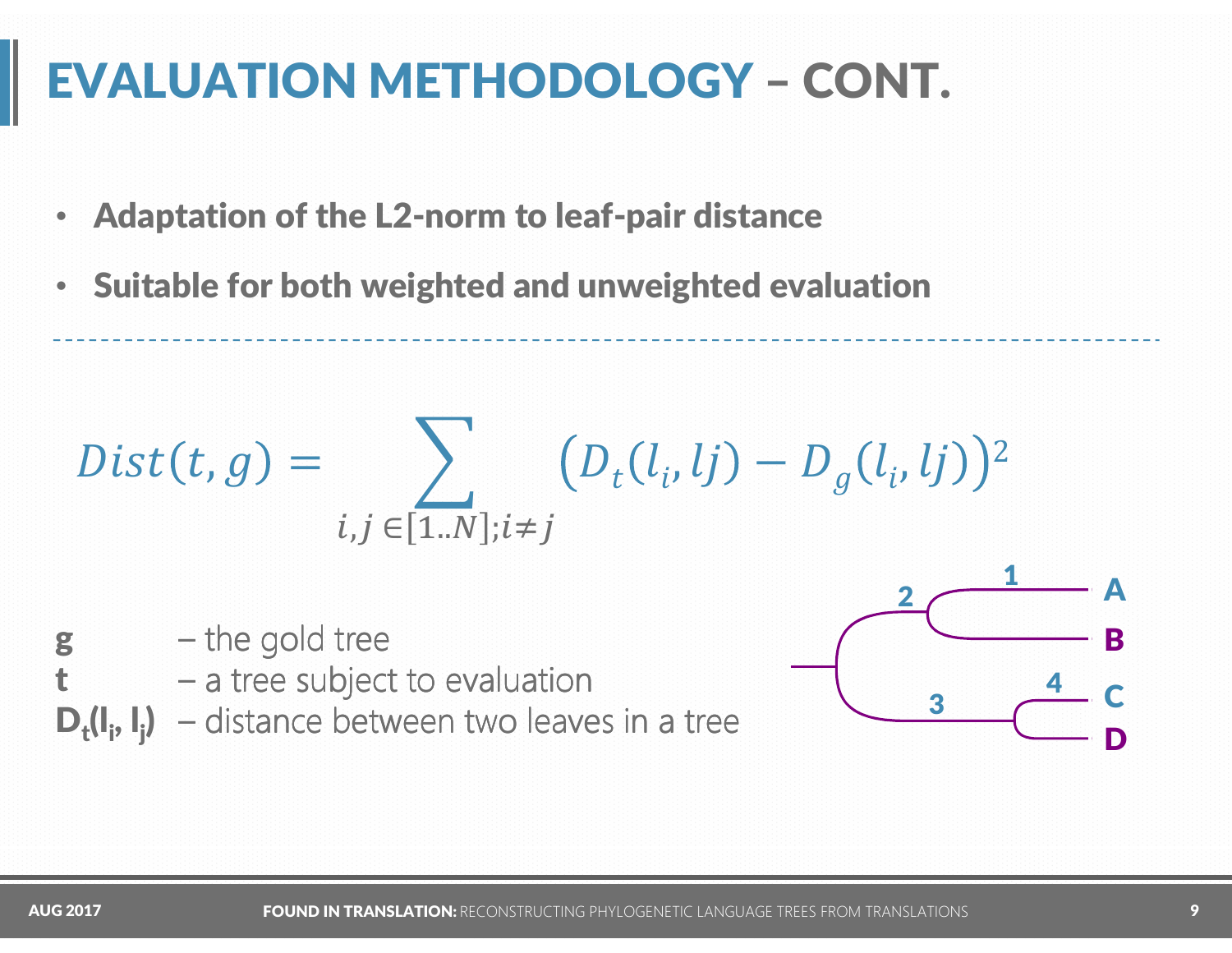# EVALUATION METHODOLOGY – CONT.

- $\bullet$ Adaptation of the L2-norm to leaf-pair distance
- •Suitable for both weighted and unweighted evaluation

$$
Dist(t, g) = \sum_{i, j \in [1..N]; i \neq j} (D_t(l_i, lj) - D_g(l_i, lj))^2
$$

- $g$  the gold tree
	- $-$  a tree subject to evaluation
- $D_t(I_i, I_i)$  distance between two leaves in a tree



t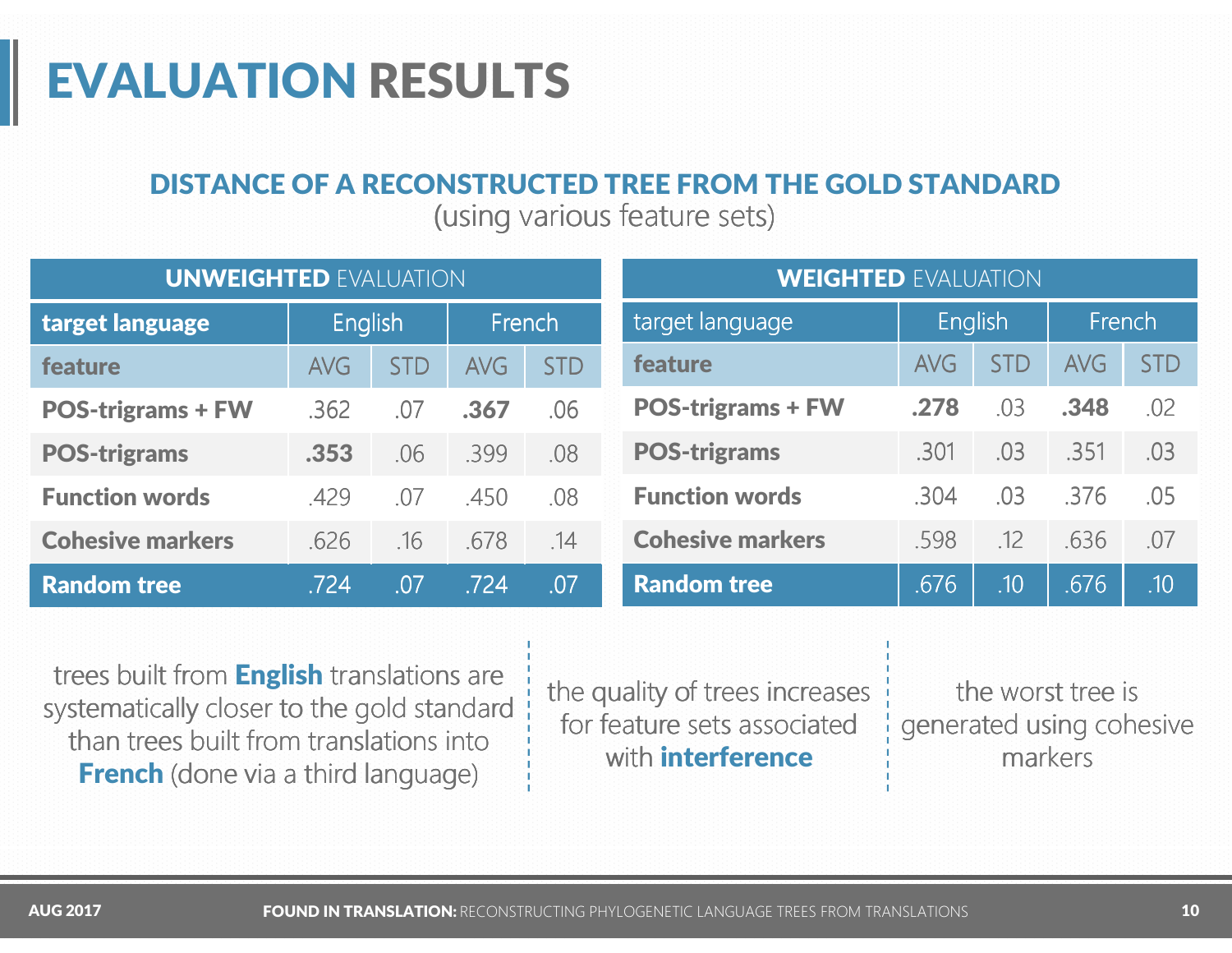#### DISTANCE OF A RECONSTRUCTED TREE FROM THE GOLD STANDARD

(using various feature sets)

| <b>UNWEIGHTED EVALUATION</b> |                |            |            |            | <b>WEIGHTED EVALUATION</b> |            |            |            |                  |  |  |
|------------------------------|----------------|------------|------------|------------|----------------------------|------------|------------|------------|------------------|--|--|
| target language              | <b>English</b> |            | French     |            | target language            | English    |            | French     |                  |  |  |
| feature                      | <b>AVG</b>     | <b>STD</b> | <b>AVG</b> | <b>STD</b> | feature                    | <b>AVG</b> | <b>STD</b> | <b>AVG</b> | <b>STD</b>       |  |  |
| <b>POS-trigrams + FW</b>     | .362           | .07        | .367       | .06        | <b>POS-trigrams + FW</b>   | .278       | .03        | .348       | .02              |  |  |
| <b>POS-trigrams</b>          | .353           | .06        | .399       | .08        | <b>POS-trigrams</b>        | .301       | .03        | .351       | .03              |  |  |
| <b>Function words</b>        | .429           | .07        | .450       | .08        | <b>Function words</b>      | .304       | .03        | .376       | .05              |  |  |
| <b>Cohesive markers</b>      | .626           | .16        | .678       | .14        | <b>Cohesive markers</b>    | .598       | .12        | .636       | .07              |  |  |
| <b>Random tree</b>           | .724           | .07        | .724       | .07        | <b>Random tree</b>         | .676       | .10        | .676       | .10 <sub>l</sub> |  |  |

trees built from **English** translations are systematically closer to the gold standard than trees built from translations into **French** (done via a third language)

the quality of trees increases for feature sets associated with **interference**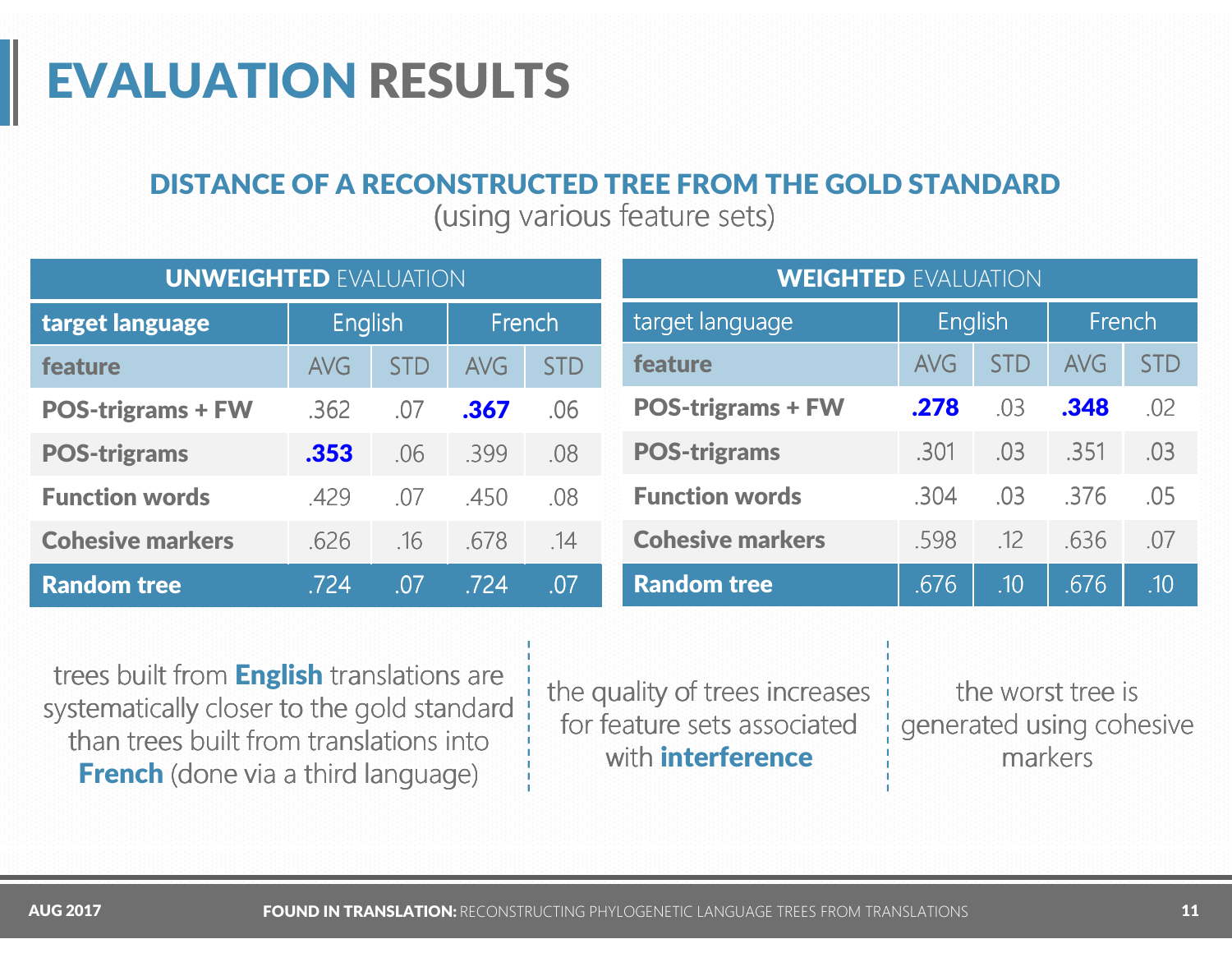#### DISTANCE OF A RECONSTRUCTED TREE FROM THE GOLD STANDARD

(using various feature sets)

| <b>UNWEIGHTED EVALUATION</b> |                |            |            |            | <b>WEIGHTED EVALUATION</b> |            |            |            |                  |  |  |
|------------------------------|----------------|------------|------------|------------|----------------------------|------------|------------|------------|------------------|--|--|
| target language              | <b>English</b> |            | French     |            | target language            | English    |            | French     |                  |  |  |
| feature                      | <b>AVG</b>     | <b>STD</b> | <b>AVG</b> | <b>STD</b> | feature                    | <b>AVG</b> | <b>STD</b> | <b>AVG</b> | <b>STD</b>       |  |  |
| <b>POS-trigrams + FW</b>     | .362           | .07        | .367       | .06        | <b>POS-trigrams + FW</b>   | .278       | .03        | .348       | .02              |  |  |
| <b>POS-trigrams</b>          | .353           | .06        | .399       | .08        | <b>POS-trigrams</b>        | .301       | .03        | .351       | .03              |  |  |
| <b>Function words</b>        | .429           | .07        | .450       | .08        | <b>Function words</b>      | .304       | .03        | .376       | .05              |  |  |
| <b>Cohesive markers</b>      | .626           | .16        | .678       | .14        | <b>Cohesive markers</b>    | .598       | .12        | .636       | .07              |  |  |
| <b>Random tree</b>           | .724           | .07        | .724       | .07        | <b>Random tree</b>         | .676       | .10        | .676       | .10 <sub>l</sub> |  |  |

trees built from **English** translations are systematically closer to the gold standard than trees built from translations into **French** (done via a third language)

the quality of trees increases for feature sets associated with **interference**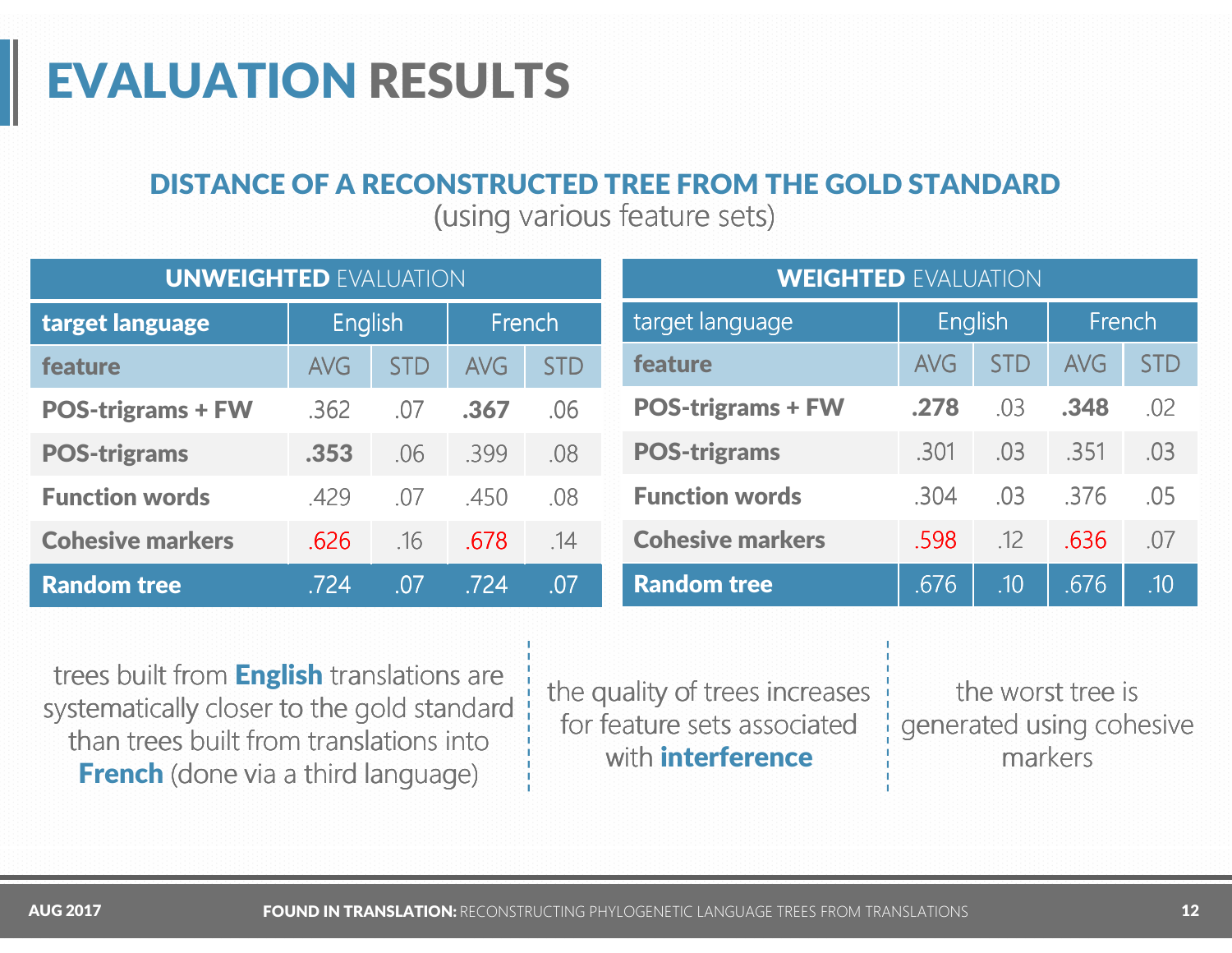#### DISTANCE OF A RECONSTRUCTED TREE FROM THE GOLD STANDARD

(using various feature sets)

| <b>UNWEIGHTED EVALUATION</b> |            |            |            | <b>WEIGHTED EVALUATION</b> |                          |            |            |            |                  |  |
|------------------------------|------------|------------|------------|----------------------------|--------------------------|------------|------------|------------|------------------|--|
| target language              | English    |            | French     |                            | target language          | English    |            | French     |                  |  |
| feature                      | <b>AVG</b> | <b>STD</b> | <b>AVG</b> | <b>STD</b>                 | feature                  | <b>AVG</b> | <b>STD</b> | <b>AVG</b> | <b>STD</b>       |  |
| <b>POS-trigrams + FW</b>     | .362       | .07        | .367       | .06                        | <b>POS-trigrams + FW</b> | .278       | .03        | .348       | .02              |  |
| <b>POS-trigrams</b>          | .353       | .06        | .399       | .08                        | <b>POS-trigrams</b>      | .301       | .03        | .351       | .03              |  |
| <b>Function words</b>        | .429       | .07        | .450       | .08                        | <b>Function words</b>    | .304       | .03        | .376       | .05              |  |
| <b>Cohesive markers</b>      | .626       | .16        | .678       | .14                        | <b>Cohesive markers</b>  | .598       | .12        | .636       | .07              |  |
| <b>Random tree</b>           | .724       | .07        | .724       | .07                        | <b>Random tree</b>       | .676       | .10        | .676       | .10 <sub>l</sub> |  |

trees built from **English** translations are systematically closer to the gold standard than trees built from translations into **French** (done via a third language)

the quality of trees increases for feature sets associated with **interference**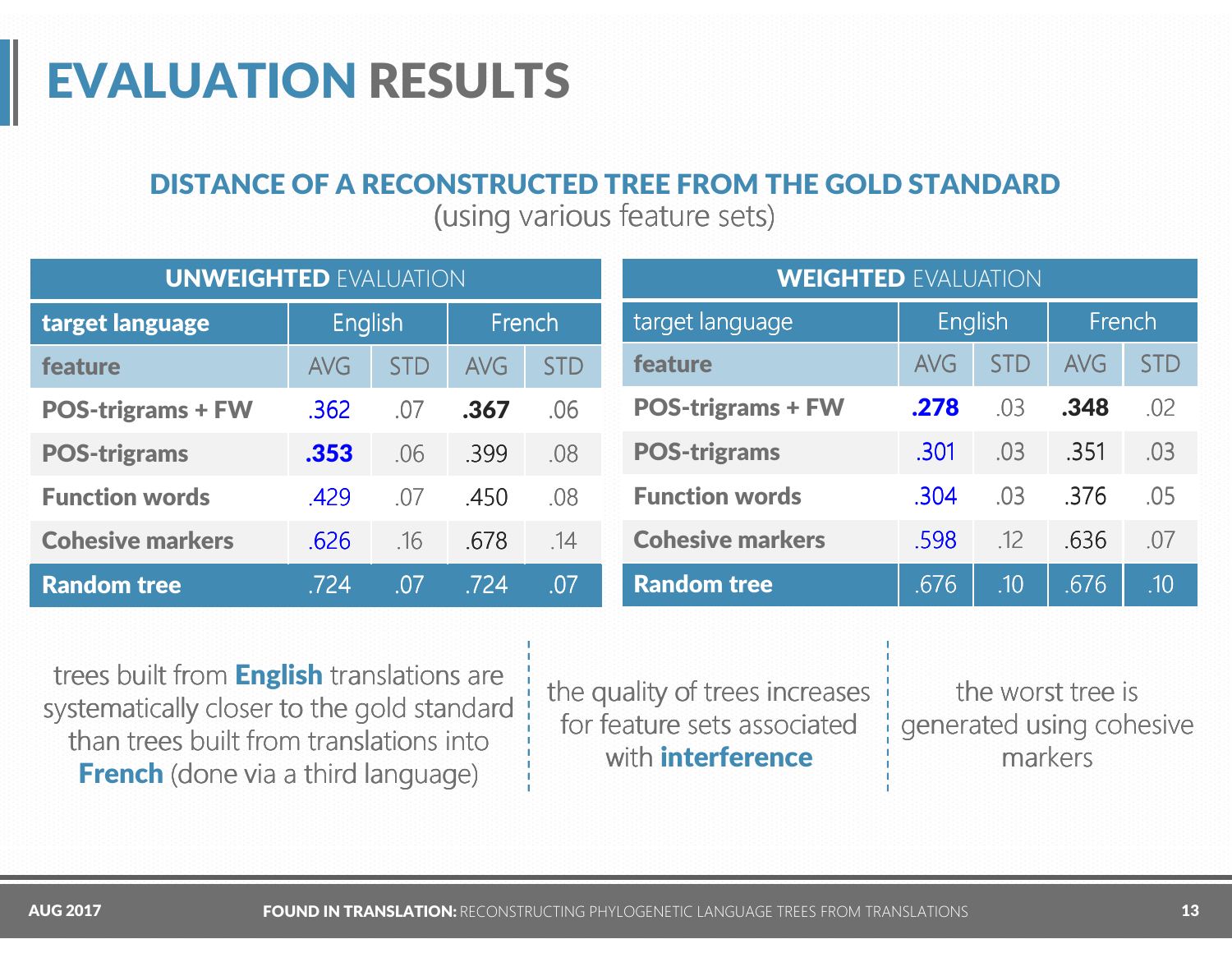#### DISTANCE OF A RECONSTRUCTED TREE FROM THE GOLD STANDARD

(using various feature sets)

| <b>UNWEIGHTED EVALUATION</b> |            |            |            | <b>WEIGHTED EVALUATION</b> |                          |            |                  |            |            |  |
|------------------------------|------------|------------|------------|----------------------------|--------------------------|------------|------------------|------------|------------|--|
| target language              | English    |            | French     |                            | target language          | English    |                  | French     |            |  |
| feature                      | <b>AVG</b> | <b>STD</b> | <b>AVG</b> | <b>STD</b>                 | feature                  | <b>AVG</b> | <b>STD</b>       | <b>AVG</b> | <b>STD</b> |  |
| <b>POS-trigrams + FW</b>     | .362       | .07        | .367       | .06                        | <b>POS-trigrams + FW</b> | .278       | .03              | .348       | .02        |  |
| <b>POS-trigrams</b>          | .353       | .06        | .399       | .08                        | <b>POS-trigrams</b>      | .301       | .03              | .351       | .03        |  |
| <b>Function words</b>        | .429       | .07        | .450       | .08                        | <b>Function words</b>    | .304       | .03              | .376       | .05        |  |
| <b>Cohesive markers</b>      | .626       | .16        | .678       | .14                        | <b>Cohesive markers</b>  | .598       | .12              | .636       | .07        |  |
| <b>Random tree</b>           | .724       | .07        | .724       | .07                        | <b>Random tree</b>       | .676       | .10 <sub>l</sub> | .676       | .10        |  |

trees built from **English** translations are systematically closer to the gold standard than trees built from translations into **French** (done via a third language)

the quality of trees increases for feature sets associated with **interference**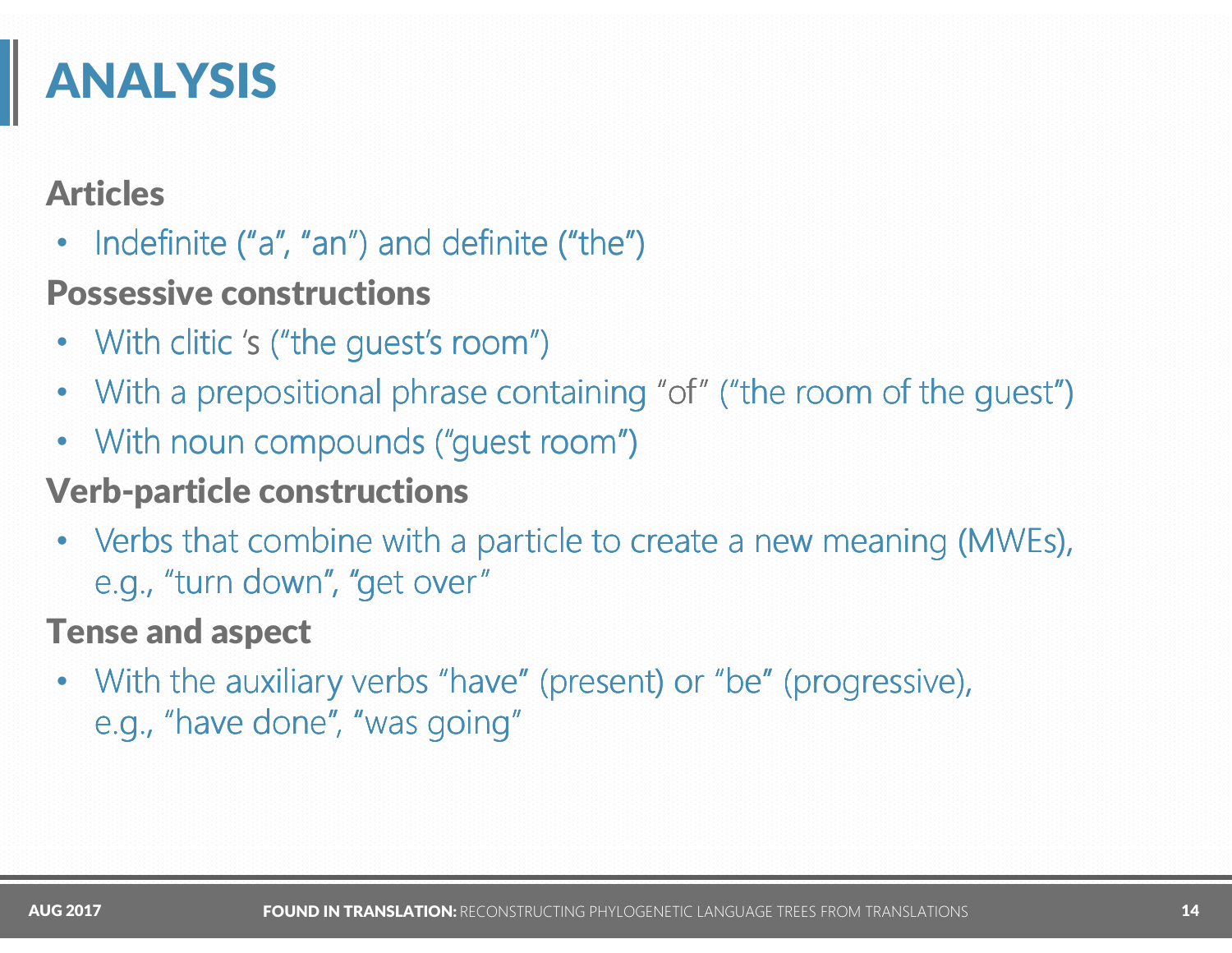## ANALYSIS

#### Articles

•• Indefinite ("a", "an") and definite ("the")

### Possessive constructions

- •With clitic 's ("the guest's room")
- •With a prepositional phrase containing "of" ("the room of the quest")
- •With noun compounds ("guest room")

### Verb-particle constructions

• Verbs that combine with a particle to create a new meaning (MWEs), e.g., "turn down", "get over"

#### Tense and aspect

• With the auxiliary verbs "have" (present) or "be" (progressive), e.g., "have done", "was going"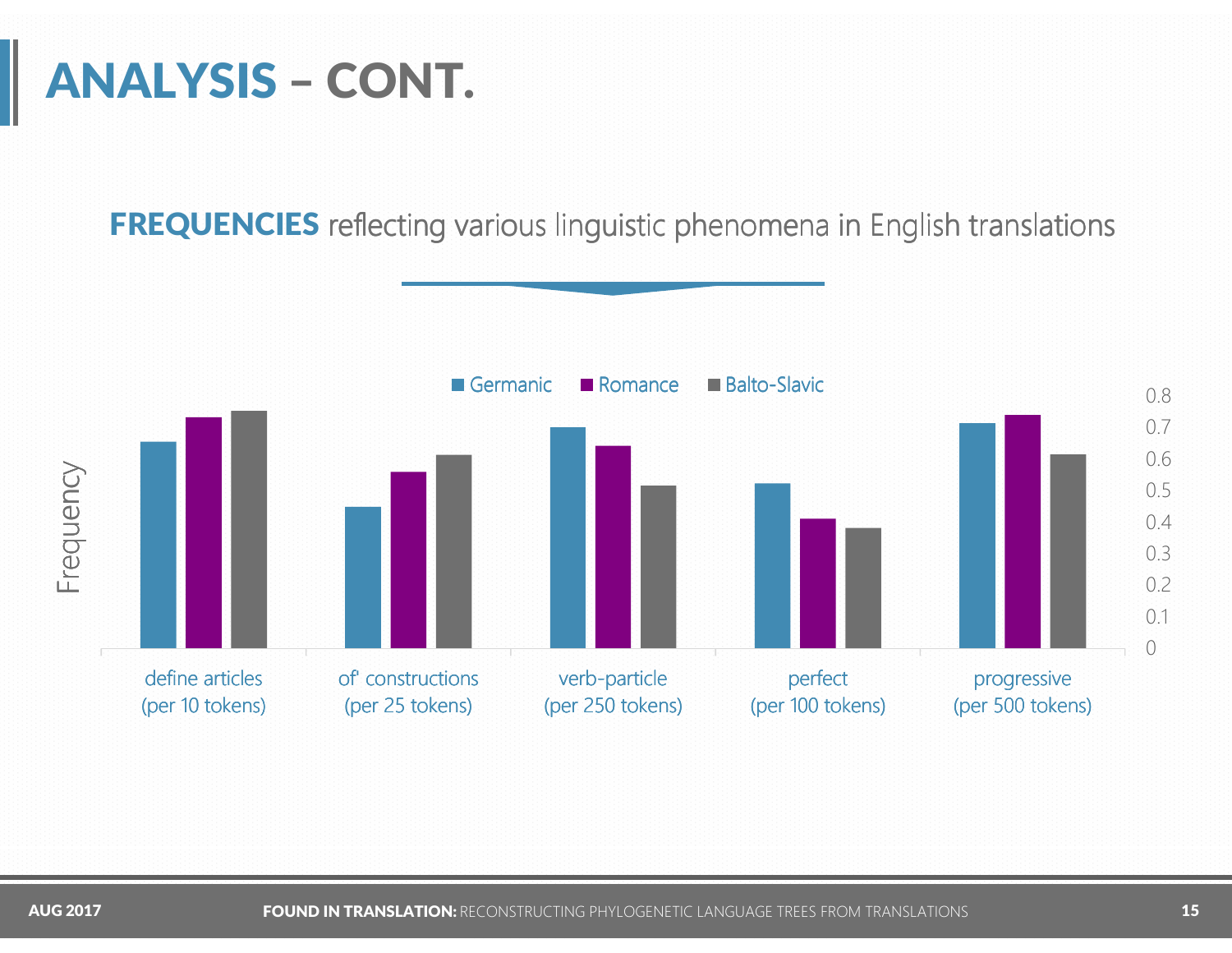# ANALYSIS – CONT.

FREQUENCIES reflecting various linguistic phenomena in English translations

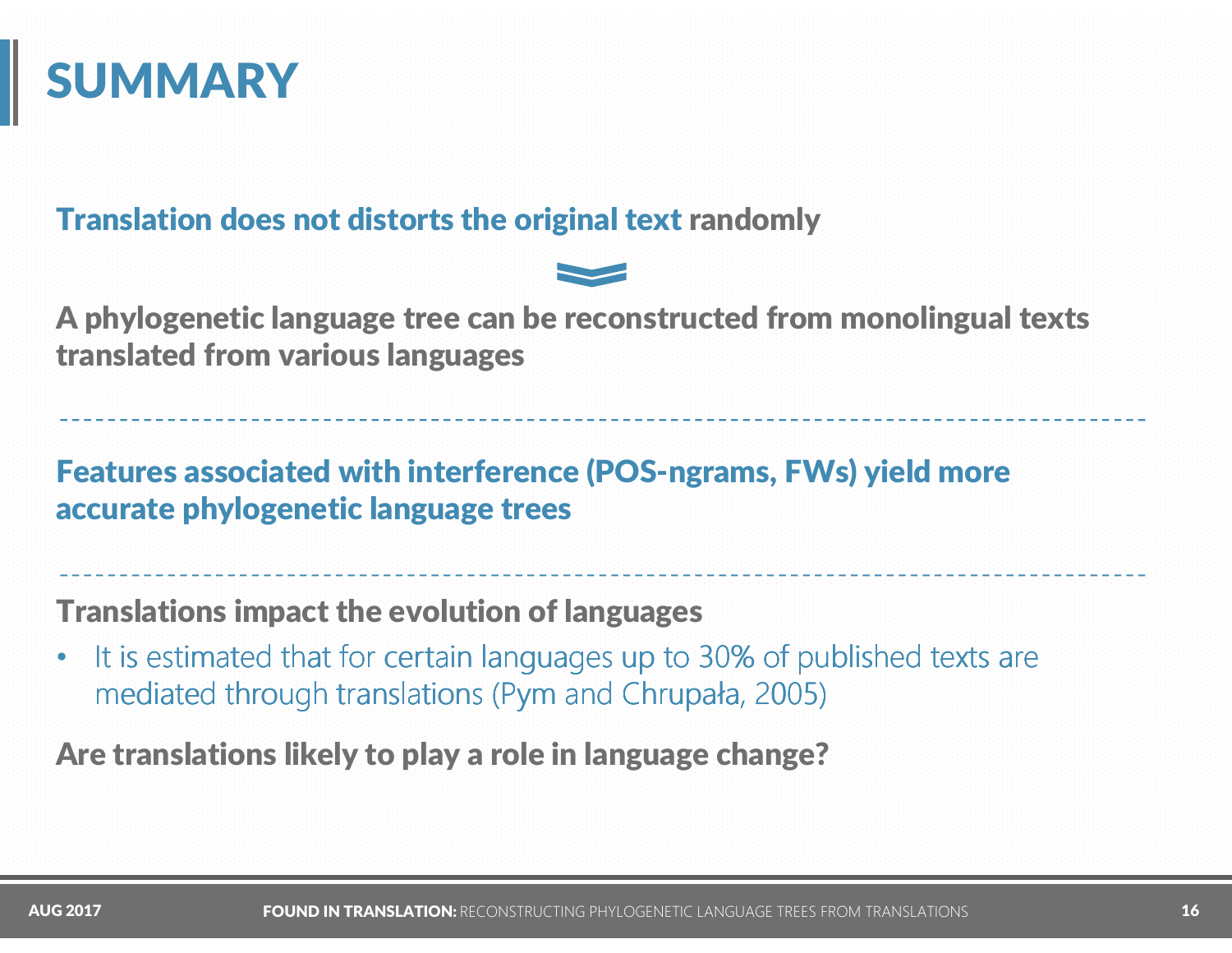### **SUMMARY**

#### Translation does not distorts the original text randomly

<sup>A</sup> phylogenetic language tree can be reconstructed from monolingual texts translated from various languages

Features associated with interference (POS-ngrams, FWs) yield more accurate phylogenetic language trees

Translations impact the evolution of languages

•It is estimated that for certain languages up to 30% of published texts are mediated through translations (Pym and Chrupała, 2005)

Are translations likely to play a role in language change?